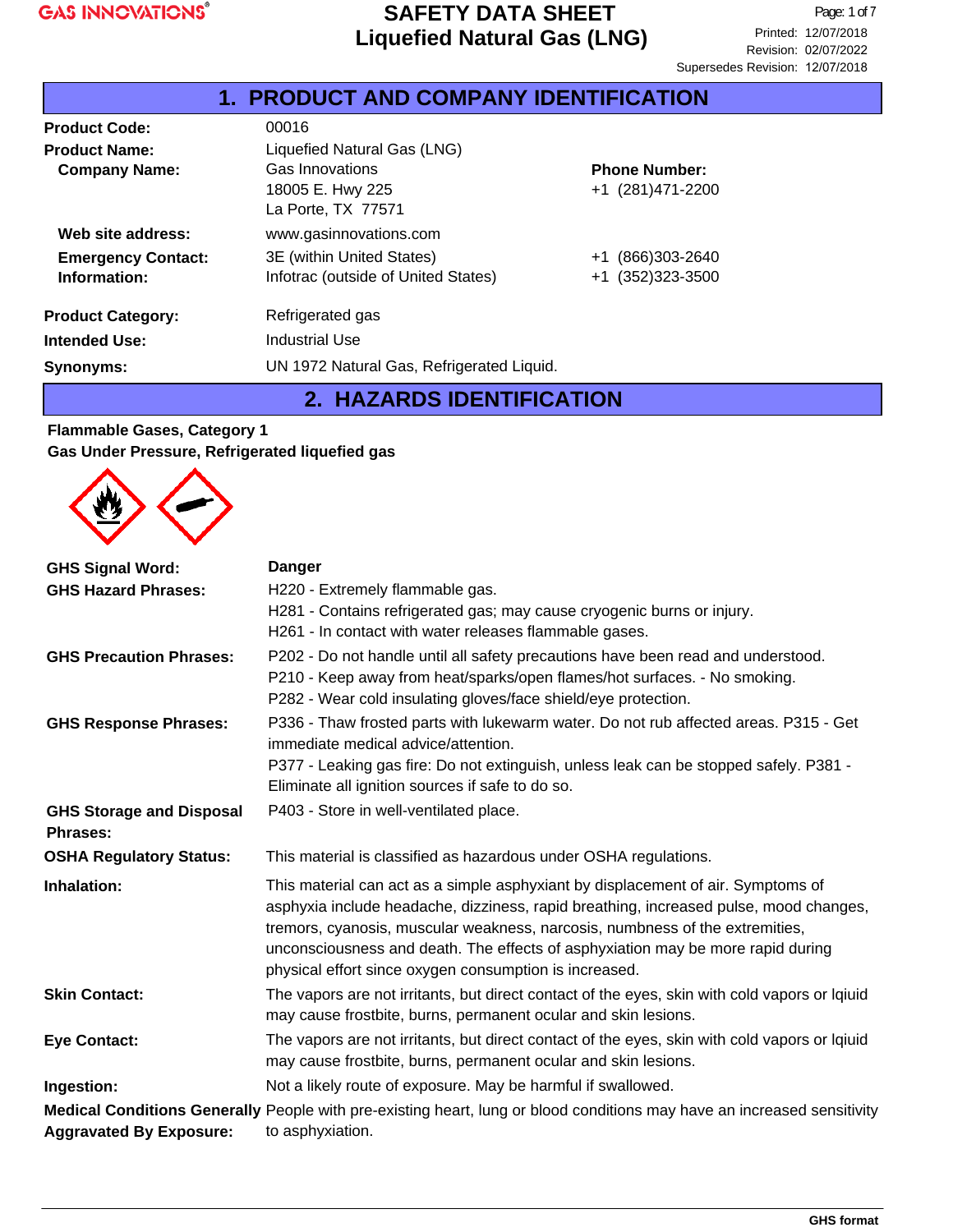#### **Product Code:** 00016 **Product Name:** Liquefied Natural Gas (LNG) **Company Name:** Gas Innovations 18005 E. Hwy 225 La Porte, TX 77571 **Emergency Contact:** 3E (within United States)  $+1$  (866)303-2640 **Information:** Information: Information: Information: Information: 11 (352)323-3500 +1 (281)471-2200 **Phone Number: Product Category:** Refrigerated gas **Intended Use:** Industrial Use **Web site address:** www.gasinnovations.com **Synonyms:** UN 1972 Natural Gas, Refrigerated Liquid. **1. PRODUCT AND COMPANY IDENTIFICATION**

### **2. HAZARDS IDENTIFICATION**

#### **Flammable Gases, Category 1 Gas Under Pressure, Refrigerated liquefied gas**



| <b>GHS Signal Word:</b>                            | <b>Danger</b>                                                                                                                                                                                                                                                                                                                                                                                          |
|----------------------------------------------------|--------------------------------------------------------------------------------------------------------------------------------------------------------------------------------------------------------------------------------------------------------------------------------------------------------------------------------------------------------------------------------------------------------|
| <b>GHS Hazard Phrases:</b>                         | H220 - Extremely flammable gas.                                                                                                                                                                                                                                                                                                                                                                        |
|                                                    | H281 - Contains refrigerated gas; may cause cryogenic burns or injury.                                                                                                                                                                                                                                                                                                                                 |
|                                                    | H261 - In contact with water releases flammable gases.                                                                                                                                                                                                                                                                                                                                                 |
| <b>GHS Precaution Phrases:</b>                     | P202 - Do not handle until all safety precautions have been read and understood.                                                                                                                                                                                                                                                                                                                       |
|                                                    | P210 - Keep away from heat/sparks/open flames/hot surfaces. - No smoking.                                                                                                                                                                                                                                                                                                                              |
|                                                    | P282 - Wear cold insulating gloves/face shield/eye protection.                                                                                                                                                                                                                                                                                                                                         |
| <b>GHS Response Phrases:</b>                       | P336 - Thaw frosted parts with lukewarm water. Do not rub affected areas. P315 - Get<br>immediate medical advice/attention.                                                                                                                                                                                                                                                                            |
|                                                    | P377 - Leaking gas fire: Do not extinguish, unless leak can be stopped safely. P381 -<br>Eliminate all ignition sources if safe to do so.                                                                                                                                                                                                                                                              |
| <b>GHS Storage and Disposal</b><br><b>Phrases:</b> | P403 - Store in well-ventilated place.                                                                                                                                                                                                                                                                                                                                                                 |
| <b>OSHA Regulatory Status:</b>                     | This material is classified as hazardous under OSHA regulations.                                                                                                                                                                                                                                                                                                                                       |
| Inhalation:                                        | This material can act as a simple asphyxiant by displacement of air. Symptoms of<br>asphyxia include headache, dizziness, rapid breathing, increased pulse, mood changes,<br>tremors, cyanosis, muscular weakness, narcosis, numbness of the extremities,<br>unconsciousness and death. The effects of asphyxiation may be more rapid during<br>physical effort since oxygen consumption is increased. |
| <b>Skin Contact:</b>                               | The vapors are not irritants, but direct contact of the eyes, skin with cold vapors or Iqiuid<br>may cause frostbite, burns, permanent ocular and skin lesions.                                                                                                                                                                                                                                        |
| <b>Eye Contact:</b>                                | The vapors are not irritants, but direct contact of the eyes, skin with cold vapors or Iqiuid<br>may cause frostbite, burns, permanent ocular and skin lesions.                                                                                                                                                                                                                                        |
| Ingestion:                                         | Not a likely route of exposure. May be harmful if swallowed.                                                                                                                                                                                                                                                                                                                                           |
| <b>Aggravated By Exposure:</b>                     | Medical Conditions Generally People with pre-existing heart, lung or blood conditions may have an increased sensitivity<br>to asphyxiation.                                                                                                                                                                                                                                                            |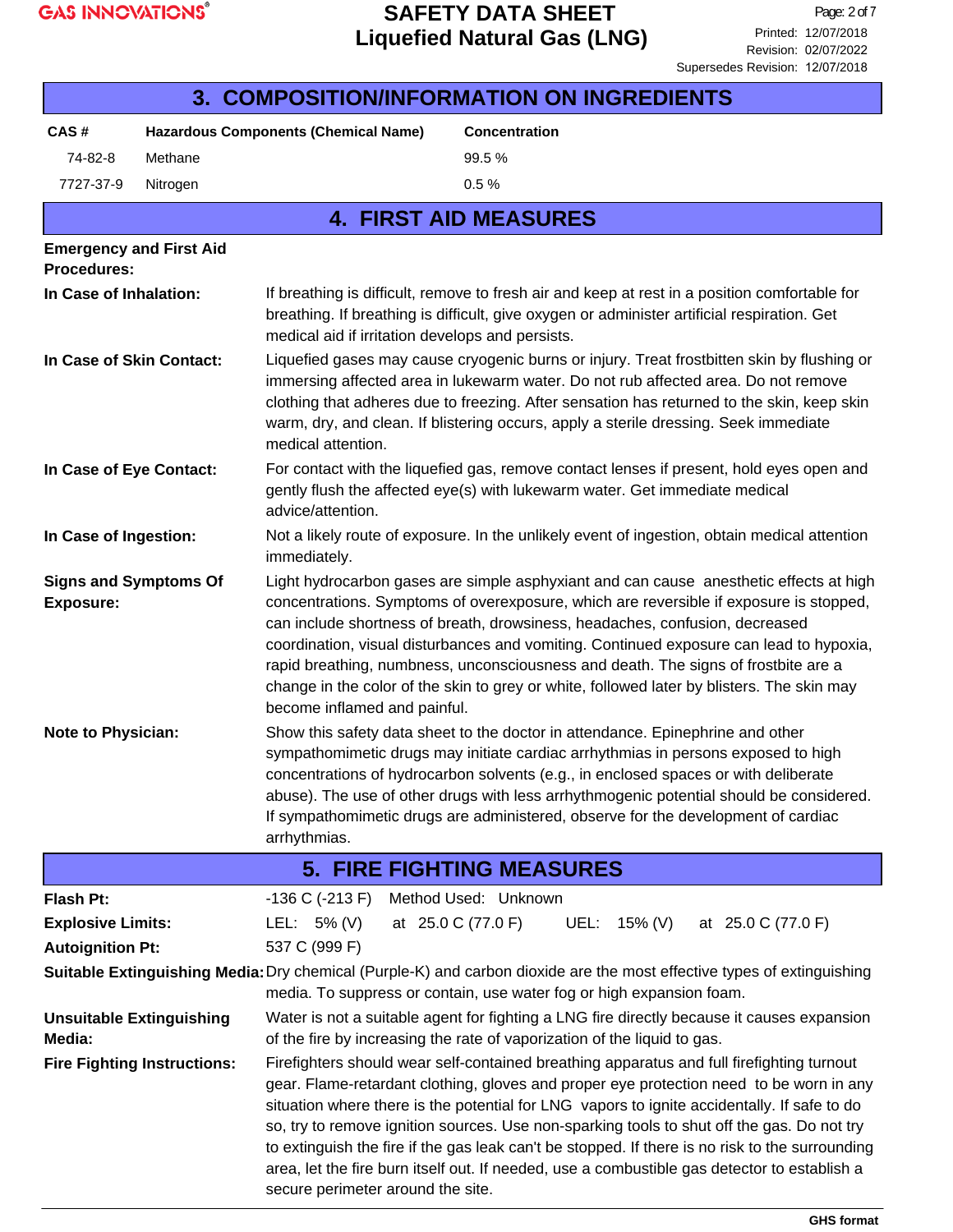

| 3. COMPOSITION/INFORMATION ON INGREDIENTS                                                                                                                                                                                                                                                                                                                                                                                                                                                                                                                                                                                                                       |                                 |                                                                                                                                                                                                                                                                                                                                                                                                                                                                                                                                                                                 |                    |                                                                                                                                                                                                                                                                                                                                                                                                                                            |  |              |  |                                                                                            |
|-----------------------------------------------------------------------------------------------------------------------------------------------------------------------------------------------------------------------------------------------------------------------------------------------------------------------------------------------------------------------------------------------------------------------------------------------------------------------------------------------------------------------------------------------------------------------------------------------------------------------------------------------------------------|---------------------------------|---------------------------------------------------------------------------------------------------------------------------------------------------------------------------------------------------------------------------------------------------------------------------------------------------------------------------------------------------------------------------------------------------------------------------------------------------------------------------------------------------------------------------------------------------------------------------------|--------------------|--------------------------------------------------------------------------------------------------------------------------------------------------------------------------------------------------------------------------------------------------------------------------------------------------------------------------------------------------------------------------------------------------------------------------------------------|--|--------------|--|--------------------------------------------------------------------------------------------|
| CAS#                                                                                                                                                                                                                                                                                                                                                                                                                                                                                                                                                                                                                                                            |                                 | <b>Hazardous Components (Chemical Name)</b>                                                                                                                                                                                                                                                                                                                                                                                                                                                                                                                                     |                    | <b>Concentration</b>                                                                                                                                                                                                                                                                                                                                                                                                                       |  |              |  |                                                                                            |
| 74-82-8                                                                                                                                                                                                                                                                                                                                                                                                                                                                                                                                                                                                                                                         | Methane                         |                                                                                                                                                                                                                                                                                                                                                                                                                                                                                                                                                                                 |                    | 99.5%                                                                                                                                                                                                                                                                                                                                                                                                                                      |  |              |  |                                                                                            |
| 7727-37-9                                                                                                                                                                                                                                                                                                                                                                                                                                                                                                                                                                                                                                                       | Nitrogen                        |                                                                                                                                                                                                                                                                                                                                                                                                                                                                                                                                                                                 |                    | 0.5%                                                                                                                                                                                                                                                                                                                                                                                                                                       |  |              |  |                                                                                            |
|                                                                                                                                                                                                                                                                                                                                                                                                                                                                                                                                                                                                                                                                 |                                 |                                                                                                                                                                                                                                                                                                                                                                                                                                                                                                                                                                                 |                    | <b>4. FIRST AID MEASURES</b>                                                                                                                                                                                                                                                                                                                                                                                                               |  |              |  |                                                                                            |
| <b>Procedures:</b>                                                                                                                                                                                                                                                                                                                                                                                                                                                                                                                                                                                                                                              | <b>Emergency and First Aid</b>  |                                                                                                                                                                                                                                                                                                                                                                                                                                                                                                                                                                                 |                    |                                                                                                                                                                                                                                                                                                                                                                                                                                            |  |              |  |                                                                                            |
| In Case of Inhalation:                                                                                                                                                                                                                                                                                                                                                                                                                                                                                                                                                                                                                                          |                                 | If breathing is difficult, remove to fresh air and keep at rest in a position comfortable for<br>breathing. If breathing is difficult, give oxygen or administer artificial respiration. Get<br>medical aid if irritation develops and persists.                                                                                                                                                                                                                                                                                                                                |                    |                                                                                                                                                                                                                                                                                                                                                                                                                                            |  |              |  |                                                                                            |
| In Case of Skin Contact:                                                                                                                                                                                                                                                                                                                                                                                                                                                                                                                                                                                                                                        |                                 | Liquefied gases may cause cryogenic burns or injury. Treat frostbitten skin by flushing or<br>immersing affected area in lukewarm water. Do not rub affected area. Do not remove<br>clothing that adheres due to freezing. After sensation has returned to the skin, keep skin<br>warm, dry, and clean. If blistering occurs, apply a sterile dressing. Seek immediate<br>medical attention.                                                                                                                                                                                    |                    |                                                                                                                                                                                                                                                                                                                                                                                                                                            |  |              |  |                                                                                            |
| In Case of Eye Contact:<br>advice/attention.                                                                                                                                                                                                                                                                                                                                                                                                                                                                                                                                                                                                                    |                                 |                                                                                                                                                                                                                                                                                                                                                                                                                                                                                                                                                                                 |                    | For contact with the liquefied gas, remove contact lenses if present, hold eyes open and<br>gently flush the affected eye(s) with lukewarm water. Get immediate medical                                                                                                                                                                                                                                                                    |  |              |  |                                                                                            |
| In Case of Ingestion:<br>Not a likely route of exposure. In the unlikely event of ingestion, obtain medical attention<br>immediately.                                                                                                                                                                                                                                                                                                                                                                                                                                                                                                                           |                                 |                                                                                                                                                                                                                                                                                                                                                                                                                                                                                                                                                                                 |                    |                                                                                                                                                                                                                                                                                                                                                                                                                                            |  |              |  |                                                                                            |
| <b>Exposure:</b>                                                                                                                                                                                                                                                                                                                                                                                                                                                                                                                                                                                                                                                | <b>Signs and Symptoms Of</b>    | Light hydrocarbon gases are simple asphyxiant and can cause anesthetic effects at high<br>concentrations. Symptoms of overexposure, which are reversible if exposure is stopped,<br>can include shortness of breath, drowsiness, headaches, confusion, decreased<br>coordination, visual disturbances and vomiting. Continued exposure can lead to hypoxia,<br>rapid breathing, numbness, unconsciousness and death. The signs of frostbite are a<br>change in the color of the skin to grey or white, followed later by blisters. The skin may<br>become inflamed and painful. |                    |                                                                                                                                                                                                                                                                                                                                                                                                                                            |  |              |  |                                                                                            |
| <b>Note to Physician:</b><br>arrhythmias.                                                                                                                                                                                                                                                                                                                                                                                                                                                                                                                                                                                                                       |                                 |                                                                                                                                                                                                                                                                                                                                                                                                                                                                                                                                                                                 |                    | Show this safety data sheet to the doctor in attendance. Epinephrine and other<br>sympathomimetic drugs may initiate cardiac arrhythmias in persons exposed to high<br>concentrations of hydrocarbon solvents (e.g., in enclosed spaces or with deliberate<br>abuse). The use of other drugs with less arrhythmogenic potential should be considered.<br>If sympathomimetic drugs are administered, observe for the development of cardiac |  |              |  |                                                                                            |
|                                                                                                                                                                                                                                                                                                                                                                                                                                                                                                                                                                                                                                                                 |                                 |                                                                                                                                                                                                                                                                                                                                                                                                                                                                                                                                                                                 |                    | <b>5. FIRE FIGHTING MEASURES</b>                                                                                                                                                                                                                                                                                                                                                                                                           |  |              |  |                                                                                            |
| Flash Pt:                                                                                                                                                                                                                                                                                                                                                                                                                                                                                                                                                                                                                                                       |                                 | $-136$ C ( $-213$ F)                                                                                                                                                                                                                                                                                                                                                                                                                                                                                                                                                            |                    | Method Used: Unknown                                                                                                                                                                                                                                                                                                                                                                                                                       |  |              |  |                                                                                            |
| <b>Explosive Limits:</b>                                                                                                                                                                                                                                                                                                                                                                                                                                                                                                                                                                                                                                        |                                 | LEL: $5\%$ (V)                                                                                                                                                                                                                                                                                                                                                                                                                                                                                                                                                                  | at 25.0 C (77.0 F) |                                                                                                                                                                                                                                                                                                                                                                                                                                            |  | UEL: 15% (V) |  | at 25.0 C (77.0 F)                                                                         |
| <b>Autoignition Pt:</b>                                                                                                                                                                                                                                                                                                                                                                                                                                                                                                                                                                                                                                         |                                 | 537 C (999 F)                                                                                                                                                                                                                                                                                                                                                                                                                                                                                                                                                                   |                    |                                                                                                                                                                                                                                                                                                                                                                                                                                            |  |              |  |                                                                                            |
|                                                                                                                                                                                                                                                                                                                                                                                                                                                                                                                                                                                                                                                                 |                                 | Suitable Extinguishing Media: Dry chemical (Purple-K) and carbon dioxide are the most effective types of extinguishing<br>media. To suppress or contain, use water fog or high expansion foam.                                                                                                                                                                                                                                                                                                                                                                                  |                    |                                                                                                                                                                                                                                                                                                                                                                                                                                            |  |              |  |                                                                                            |
| Media:                                                                                                                                                                                                                                                                                                                                                                                                                                                                                                                                                                                                                                                          | <b>Unsuitable Extinguishing</b> | of the fire by increasing the rate of vaporization of the liquid to gas.                                                                                                                                                                                                                                                                                                                                                                                                                                                                                                        |                    |                                                                                                                                                                                                                                                                                                                                                                                                                                            |  |              |  | Water is not a suitable agent for fighting a LNG fire directly because it causes expansion |
| Firefighters should wear self-contained breathing apparatus and full firefighting turnout<br><b>Fire Fighting Instructions:</b><br>gear. Flame-retardant clothing, gloves and proper eye protection need to be worn in any<br>situation where there is the potential for LNG vapors to ignite accidentally. If safe to do<br>so, try to remove ignition sources. Use non-sparking tools to shut off the gas. Do not try<br>to extinguish the fire if the gas leak can't be stopped. If there is no risk to the surrounding<br>area, let the fire burn itself out. If needed, use a combustible gas detector to establish a<br>secure perimeter around the site. |                                 |                                                                                                                                                                                                                                                                                                                                                                                                                                                                                                                                                                                 |                    |                                                                                                                                                                                                                                                                                                                                                                                                                                            |  |              |  |                                                                                            |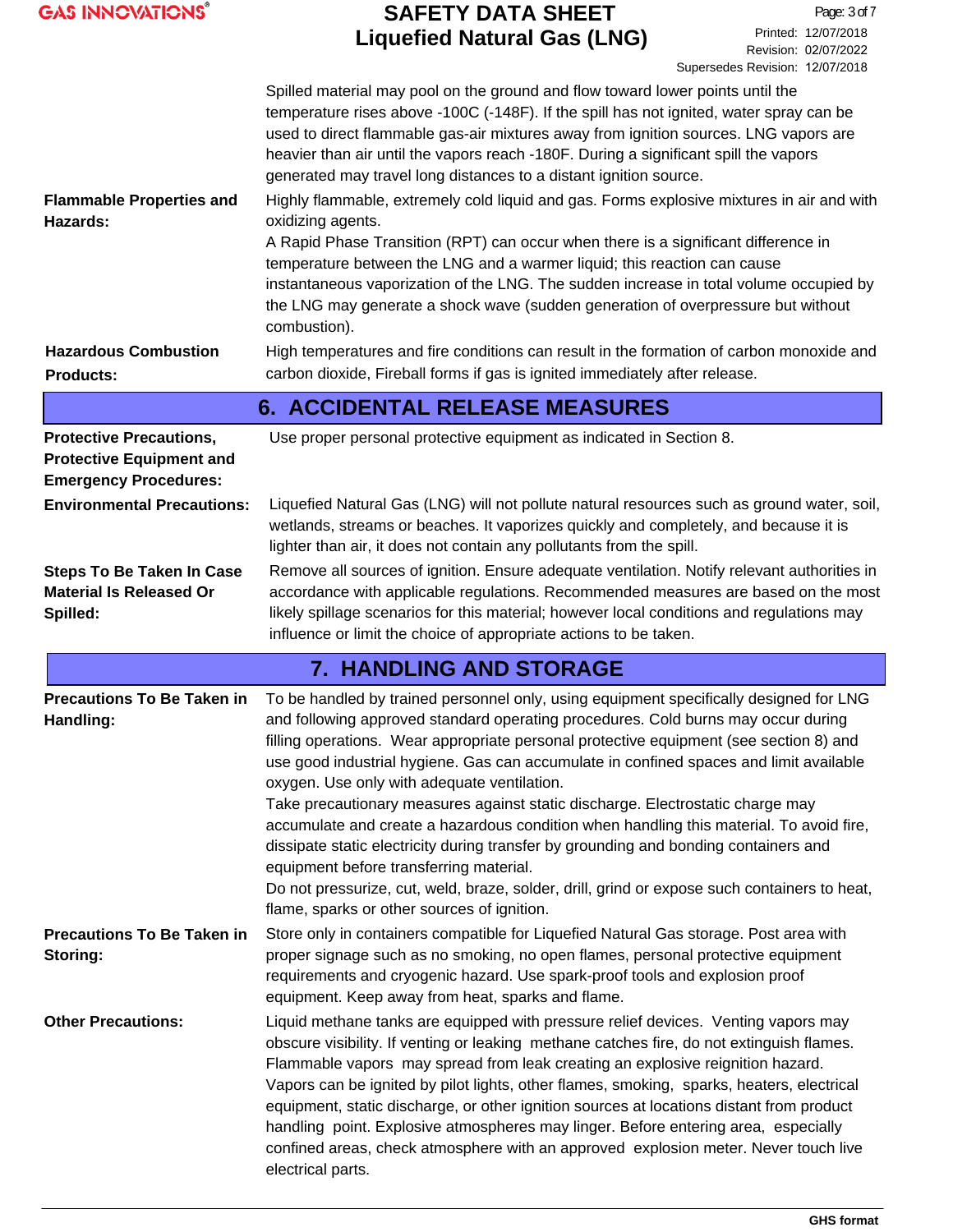| <b>GAS INNOVATIONS®</b>                                                                           | <b>SAFETY DATA SHEET</b><br><b>Liquefied Natural Gas (LNG)</b>                                                                                                                                                                                                                                                                                                                                                                                                                                                                                                                                                                                                                                                                                                                                                                                                                                                  | Page: 3 of 7<br>Printed: 12/07/2018<br>Revision: 02/07/2022<br>Supersedes Revision: 12/07/2018 |
|---------------------------------------------------------------------------------------------------|-----------------------------------------------------------------------------------------------------------------------------------------------------------------------------------------------------------------------------------------------------------------------------------------------------------------------------------------------------------------------------------------------------------------------------------------------------------------------------------------------------------------------------------------------------------------------------------------------------------------------------------------------------------------------------------------------------------------------------------------------------------------------------------------------------------------------------------------------------------------------------------------------------------------|------------------------------------------------------------------------------------------------|
| <b>Flammable Properties and</b><br>Hazards:                                                       | Spilled material may pool on the ground and flow toward lower points until the<br>temperature rises above -100C (-148F). If the spill has not ignited, water spray can be<br>used to direct flammable gas-air mixtures away from ignition sources. LNG vapors are<br>heavier than air until the vapors reach -180F. During a significant spill the vapors<br>generated may travel long distances to a distant ignition source.<br>Highly flammable, extremely cold liquid and gas. Forms explosive mixtures in air and with<br>oxidizing agents.<br>A Rapid Phase Transition (RPT) can occur when there is a significant difference in<br>temperature between the LNG and a warmer liquid; this reaction can cause<br>instantaneous vaporization of the LNG. The sudden increase in total volume occupied by                                                                                                    |                                                                                                |
| <b>Hazardous Combustion</b>                                                                       | the LNG may generate a shock wave (sudden generation of overpressure but without<br>combustion).<br>High temperatures and fire conditions can result in the formation of carbon monoxide and<br>carbon dioxide, Fireball forms if gas is ignited immediately after release.                                                                                                                                                                                                                                                                                                                                                                                                                                                                                                                                                                                                                                     |                                                                                                |
| <b>Products:</b>                                                                                  |                                                                                                                                                                                                                                                                                                                                                                                                                                                                                                                                                                                                                                                                                                                                                                                                                                                                                                                 |                                                                                                |
|                                                                                                   | <b>6. ACCIDENTAL RELEASE MEASURES</b>                                                                                                                                                                                                                                                                                                                                                                                                                                                                                                                                                                                                                                                                                                                                                                                                                                                                           |                                                                                                |
| <b>Protective Precautions,</b><br><b>Protective Equipment and</b><br><b>Emergency Procedures:</b> | Use proper personal protective equipment as indicated in Section 8.                                                                                                                                                                                                                                                                                                                                                                                                                                                                                                                                                                                                                                                                                                                                                                                                                                             |                                                                                                |
| <b>Environmental Precautions:</b>                                                                 | Liquefied Natural Gas (LNG) will not pollute natural resources such as ground water, soil,<br>wetlands, streams or beaches. It vaporizes quickly and completely, and because it is<br>lighter than air, it does not contain any pollutants from the spill.                                                                                                                                                                                                                                                                                                                                                                                                                                                                                                                                                                                                                                                      |                                                                                                |
| <b>Steps To Be Taken In Case</b><br><b>Material Is Released Or</b><br>Spilled:                    | Remove all sources of ignition. Ensure adequate ventilation. Notify relevant authorities in<br>accordance with applicable regulations. Recommended measures are based on the most<br>likely spillage scenarios for this material; however local conditions and regulations may<br>influence or limit the choice of appropriate actions to be taken.                                                                                                                                                                                                                                                                                                                                                                                                                                                                                                                                                             |                                                                                                |
|                                                                                                   | <b>7. HANDLING AND STORAGE</b>                                                                                                                                                                                                                                                                                                                                                                                                                                                                                                                                                                                                                                                                                                                                                                                                                                                                                  |                                                                                                |
| Handling:                                                                                         | <b>Precautions To Be Taken in</b> To be handled by trained personnel only, using equipment specifically designed for LNG<br>and following approved standard operating procedures. Cold burns may occur during<br>filling operations. Wear appropriate personal protective equipment (see section 8) and<br>use good industrial hygiene. Gas can accumulate in confined spaces and limit available<br>oxygen. Use only with adequate ventilation.<br>Take precautionary measures against static discharge. Electrostatic charge may<br>accumulate and create a hazardous condition when handling this material. To avoid fire,<br>dissipate static electricity during transfer by grounding and bonding containers and<br>equipment before transferring material.<br>Do not pressurize, cut, weld, braze, solder, drill, grind or expose such containers to heat,<br>flame, sparks or other sources of ignition. |                                                                                                |
| <b>Precautions To Be Taken in</b><br>Storing:                                                     | Store only in containers compatible for Liquefied Natural Gas storage. Post area with<br>proper signage such as no smoking, no open flames, personal protective equipment<br>requirements and cryogenic hazard. Use spark-proof tools and explosion proof<br>equipment. Keep away from heat, sparks and flame.                                                                                                                                                                                                                                                                                                                                                                                                                                                                                                                                                                                                  |                                                                                                |
| <b>Other Precautions:</b>                                                                         | Liquid methane tanks are equipped with pressure relief devices. Venting vapors may<br>obscure visibility. If venting or leaking methane catches fire, do not extinguish flames.<br>Flammable vapors may spread from leak creating an explosive reignition hazard.<br>Vapors can be ignited by pilot lights, other flames, smoking, sparks, heaters, electrical<br>equipment, static discharge, or other ignition sources at locations distant from product<br>handling point. Explosive atmospheres may linger. Before entering area, especially<br>confined areas, check atmosphere with an approved explosion meter. Never touch live<br>electrical parts.                                                                                                                                                                                                                                                    |                                                                                                |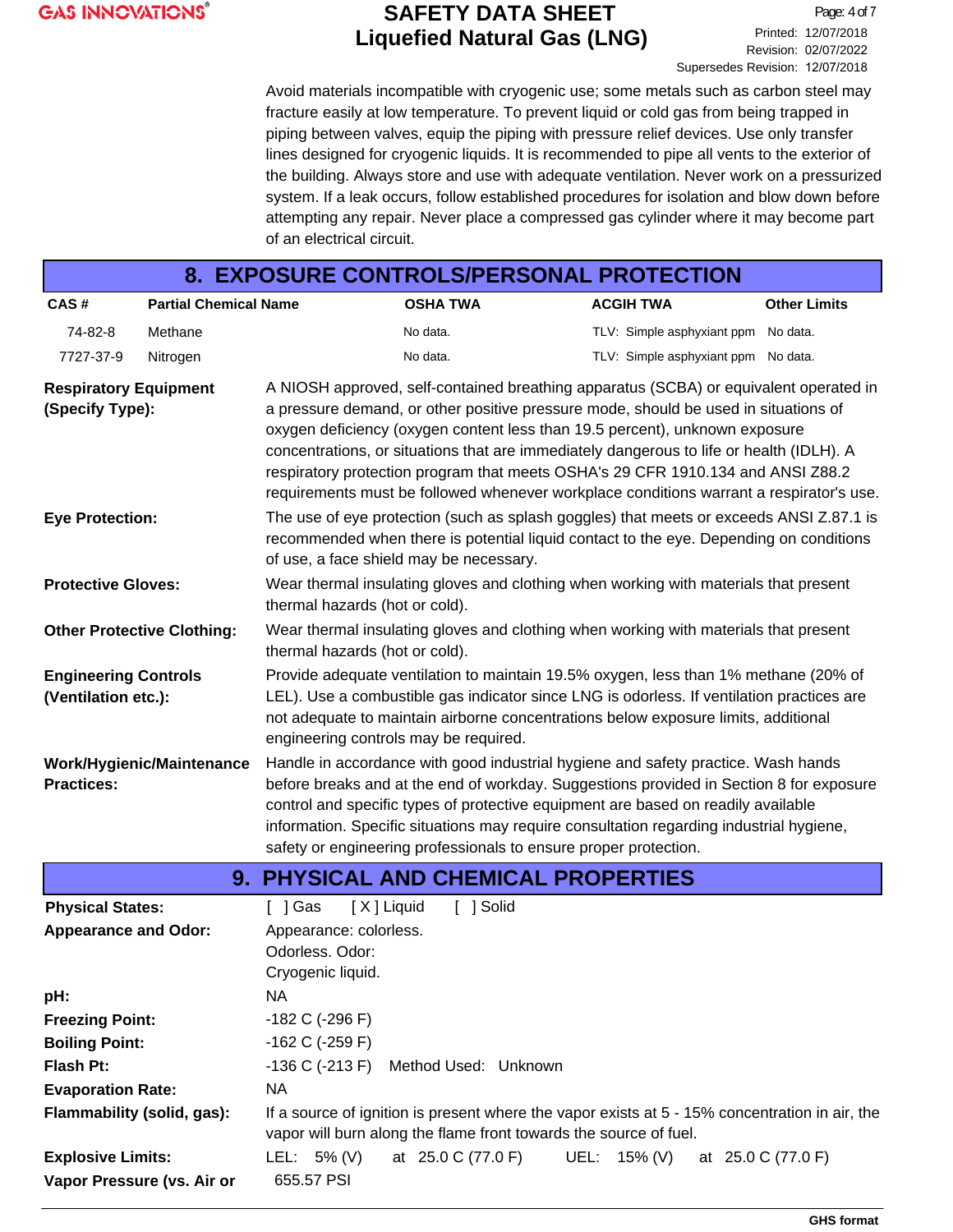Page: 4 of 7 Printed: 12/07/2018 Revision: 02/07/2022 Supersedes Revision: 12/07/2018

Avoid materials incompatible with cryogenic use; some metals such as carbon steel may fracture easily at low temperature. To prevent liquid or cold gas from being trapped in piping between valves, equip the piping with pressure relief devices. Use only transfer lines designed for cryogenic liquids. It is recommended to pipe all vents to the exterior of the building. Always store and use with adequate ventilation. Never work on a pressurized system. If a leak occurs, follow established procedures for isolation and blow down before attempting any repair. Never place a compressed gas cylinder where it may become part of an electrical circuit.

| 8. EXPOSURE CONTROLS/PERSONAL PROTECTION                                                                                                                                                                                                                                                                                                                                                                                                                                                                                                                                                 |                                   |                                                                                                                                                                                                                                                                                                                                                                                                                                  |                                                                   |  |                                                                                                                                                                                   |                     |  |
|------------------------------------------------------------------------------------------------------------------------------------------------------------------------------------------------------------------------------------------------------------------------------------------------------------------------------------------------------------------------------------------------------------------------------------------------------------------------------------------------------------------------------------------------------------------------------------------|-----------------------------------|----------------------------------------------------------------------------------------------------------------------------------------------------------------------------------------------------------------------------------------------------------------------------------------------------------------------------------------------------------------------------------------------------------------------------------|-------------------------------------------------------------------|--|-----------------------------------------------------------------------------------------------------------------------------------------------------------------------------------|---------------------|--|
|                                                                                                                                                                                                                                                                                                                                                                                                                                                                                                                                                                                          |                                   |                                                                                                                                                                                                                                                                                                                                                                                                                                  |                                                                   |  |                                                                                                                                                                                   |                     |  |
| CAS#                                                                                                                                                                                                                                                                                                                                                                                                                                                                                                                                                                                     | <b>Partial Chemical Name</b>      |                                                                                                                                                                                                                                                                                                                                                                                                                                  | <b>OSHA TWA</b>                                                   |  | <b>ACGIH TWA</b>                                                                                                                                                                  | <b>Other Limits</b> |  |
| 74-82-8                                                                                                                                                                                                                                                                                                                                                                                                                                                                                                                                                                                  | Methane                           |                                                                                                                                                                                                                                                                                                                                                                                                                                  | No data.                                                          |  | TLV: Simple asphyxiant ppm                                                                                                                                                        | No data.            |  |
| 7727-37-9                                                                                                                                                                                                                                                                                                                                                                                                                                                                                                                                                                                | Nitrogen                          |                                                                                                                                                                                                                                                                                                                                                                                                                                  | No data.                                                          |  | TLV: Simple asphyxiant ppm No data.                                                                                                                                               |                     |  |
| A NIOSH approved, self-contained breathing apparatus (SCBA) or equivalent operated in<br><b>Respiratory Equipment</b><br>a pressure demand, or other positive pressure mode, should be used in situations of<br>(Specify Type):<br>oxygen deficiency (oxygen content less than 19.5 percent), unknown exposure<br>concentrations, or situations that are immediately dangerous to life or health (IDLH). A<br>respiratory protection program that meets OSHA's 29 CFR 1910.134 and ANSI Z88.2<br>requirements must be followed whenever workplace conditions warrant a respirator's use. |                                   |                                                                                                                                                                                                                                                                                                                                                                                                                                  |                                                                   |  |                                                                                                                                                                                   |                     |  |
| <b>Eye Protection:</b>                                                                                                                                                                                                                                                                                                                                                                                                                                                                                                                                                                   |                                   |                                                                                                                                                                                                                                                                                                                                                                                                                                  | of use, a face shield may be necessary.                           |  | The use of eye protection (such as splash goggles) that meets or exceeds ANSI Z.87.1 is<br>recommended when there is potential liquid contact to the eye. Depending on conditions |                     |  |
| <b>Protective Gloves:</b>                                                                                                                                                                                                                                                                                                                                                                                                                                                                                                                                                                |                                   | thermal hazards (hot or cold).                                                                                                                                                                                                                                                                                                                                                                                                   |                                                                   |  | Wear thermal insulating gloves and clothing when working with materials that present                                                                                              |                     |  |
|                                                                                                                                                                                                                                                                                                                                                                                                                                                                                                                                                                                          | <b>Other Protective Clothing:</b> | thermal hazards (hot or cold).                                                                                                                                                                                                                                                                                                                                                                                                   |                                                                   |  | Wear thermal insulating gloves and clothing when working with materials that present                                                                                              |                     |  |
| <b>Engineering Controls</b><br>(Ventilation etc.):                                                                                                                                                                                                                                                                                                                                                                                                                                                                                                                                       |                                   | Provide adequate ventilation to maintain 19.5% oxygen, less than 1% methane (20% of<br>LEL). Use a combustible gas indicator since LNG is odorless. If ventilation practices are<br>not adequate to maintain airborne concentrations below exposure limits, additional<br>engineering controls may be required.                                                                                                                  |                                                                   |  |                                                                                                                                                                                   |                     |  |
| <b>Practices:</b>                                                                                                                                                                                                                                                                                                                                                                                                                                                                                                                                                                        | Work/Hygienic/Maintenance         | Handle in accordance with good industrial hygiene and safety practice. Wash hands<br>before breaks and at the end of workday. Suggestions provided in Section 8 for exposure<br>control and specific types of protective equipment are based on readily available<br>information. Specific situations may require consultation regarding industrial hygiene,<br>safety or engineering professionals to ensure proper protection. |                                                                   |  |                                                                                                                                                                                   |                     |  |
|                                                                                                                                                                                                                                                                                                                                                                                                                                                                                                                                                                                          |                                   | <b>9. PHYSICAL AND CHEMICAL PROPERTIES</b>                                                                                                                                                                                                                                                                                                                                                                                       |                                                                   |  |                                                                                                                                                                                   |                     |  |
| <b>Physical States:</b>                                                                                                                                                                                                                                                                                                                                                                                                                                                                                                                                                                  |                                   | $[$ ] Gas                                                                                                                                                                                                                                                                                                                                                                                                                        | [X] Liquid<br>[ ] Solid                                           |  |                                                                                                                                                                                   |                     |  |
| <b>Appearance and Odor:</b>                                                                                                                                                                                                                                                                                                                                                                                                                                                                                                                                                              |                                   | Appearance: colorless.<br>Odorless. Odor:<br>Cryogenic liquid.                                                                                                                                                                                                                                                                                                                                                                   |                                                                   |  |                                                                                                                                                                                   |                     |  |
| pH:                                                                                                                                                                                                                                                                                                                                                                                                                                                                                                                                                                                      |                                   | <b>NA</b>                                                                                                                                                                                                                                                                                                                                                                                                                        |                                                                   |  |                                                                                                                                                                                   |                     |  |
| <b>Freezing Point:</b>                                                                                                                                                                                                                                                                                                                                                                                                                                                                                                                                                                   |                                   | -182 C (-296 F)                                                                                                                                                                                                                                                                                                                                                                                                                  |                                                                   |  |                                                                                                                                                                                   |                     |  |
| <b>Boiling Point:</b>                                                                                                                                                                                                                                                                                                                                                                                                                                                                                                                                                                    |                                   | $-162$ C ( $-259$ F)                                                                                                                                                                                                                                                                                                                                                                                                             |                                                                   |  |                                                                                                                                                                                   |                     |  |
| <b>Flash Pt:</b>                                                                                                                                                                                                                                                                                                                                                                                                                                                                                                                                                                         |                                   | $-136$ C ( $-213$ F)                                                                                                                                                                                                                                                                                                                                                                                                             | Method Used: Unknown                                              |  |                                                                                                                                                                                   |                     |  |
| <b>Evaporation Rate:</b>                                                                                                                                                                                                                                                                                                                                                                                                                                                                                                                                                                 |                                   | <b>NA</b>                                                                                                                                                                                                                                                                                                                                                                                                                        |                                                                   |  |                                                                                                                                                                                   |                     |  |
|                                                                                                                                                                                                                                                                                                                                                                                                                                                                                                                                                                                          | Flammability (solid, gas):        |                                                                                                                                                                                                                                                                                                                                                                                                                                  | vapor will burn along the flame front towards the source of fuel. |  | If a source of ignition is present where the vapor exists at 5 - 15% concentration in air, the                                                                                    |                     |  |
| <b>Explosive Limits:</b>                                                                                                                                                                                                                                                                                                                                                                                                                                                                                                                                                                 |                                   | LEL: $5\%$ (V)                                                                                                                                                                                                                                                                                                                                                                                                                   | at 25.0 C (77.0 F)                                                |  | UEL: 15% (V)                                                                                                                                                                      | at 25.0 C (77.0 F)  |  |
|                                                                                                                                                                                                                                                                                                                                                                                                                                                                                                                                                                                          | Vapor Pressure (vs. Air or        | 655.57 PSI                                                                                                                                                                                                                                                                                                                                                                                                                       |                                                                   |  |                                                                                                                                                                                   |                     |  |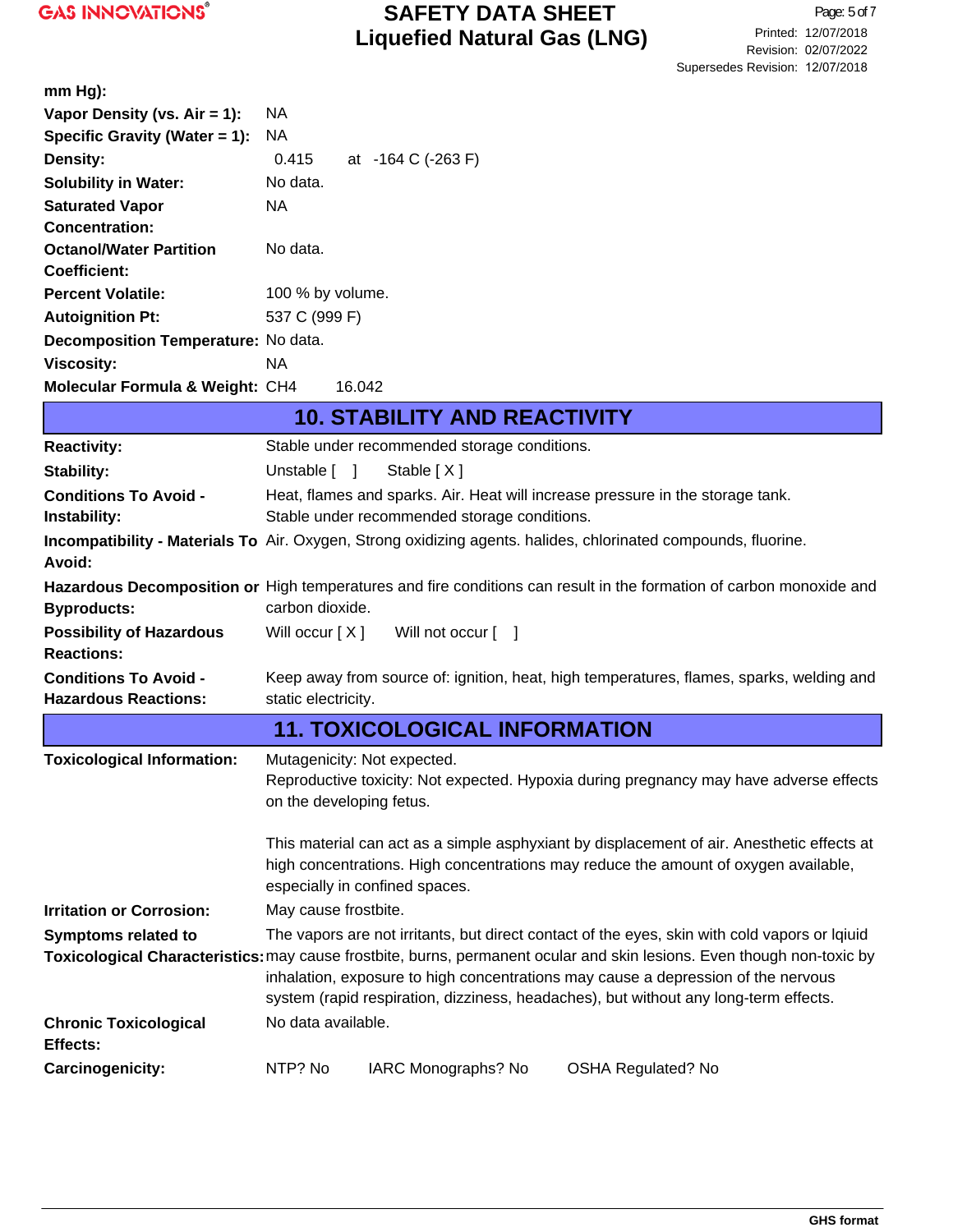| $mm Hg$ :                                                   |                                                                                                                                                                                                                                                                                                     |                                              |                                                                                                                       |  |  |
|-------------------------------------------------------------|-----------------------------------------------------------------------------------------------------------------------------------------------------------------------------------------------------------------------------------------------------------------------------------------------------|----------------------------------------------|-----------------------------------------------------------------------------------------------------------------------|--|--|
| Vapor Density (vs. Air = 1):                                | NA                                                                                                                                                                                                                                                                                                  |                                              |                                                                                                                       |  |  |
| Specific Gravity (Water = 1):                               | NA                                                                                                                                                                                                                                                                                                  |                                              |                                                                                                                       |  |  |
| Density:                                                    | 0.415                                                                                                                                                                                                                                                                                               | at -164 C (-263 F)                           |                                                                                                                       |  |  |
| <b>Solubility in Water:</b>                                 | No data.                                                                                                                                                                                                                                                                                            |                                              |                                                                                                                       |  |  |
| <b>Saturated Vapor</b>                                      | NA                                                                                                                                                                                                                                                                                                  |                                              |                                                                                                                       |  |  |
| <b>Concentration:</b>                                       |                                                                                                                                                                                                                                                                                                     |                                              |                                                                                                                       |  |  |
| <b>Octanol/Water Partition</b>                              | No data.                                                                                                                                                                                                                                                                                            |                                              |                                                                                                                       |  |  |
| <b>Coefficient:</b>                                         |                                                                                                                                                                                                                                                                                                     |                                              |                                                                                                                       |  |  |
| <b>Percent Volatile:</b>                                    | 100 % by volume.                                                                                                                                                                                                                                                                                    |                                              |                                                                                                                       |  |  |
| <b>Autoignition Pt:</b>                                     | 537 C (999 F)                                                                                                                                                                                                                                                                                       |                                              |                                                                                                                       |  |  |
| Decomposition Temperature: No data.                         |                                                                                                                                                                                                                                                                                                     |                                              |                                                                                                                       |  |  |
| <b>Viscosity:</b>                                           | <b>NA</b>                                                                                                                                                                                                                                                                                           |                                              |                                                                                                                       |  |  |
| Molecular Formula & Weight: CH4                             |                                                                                                                                                                                                                                                                                                     | 16.042                                       |                                                                                                                       |  |  |
|                                                             |                                                                                                                                                                                                                                                                                                     | <b>10. STABILITY AND REACTIVITY</b>          |                                                                                                                       |  |  |
| <b>Reactivity:</b>                                          |                                                                                                                                                                                                                                                                                                     | Stable under recommended storage conditions. |                                                                                                                       |  |  |
| <b>Stability:</b>                                           | Unstable $\lceil \quad \rceil$                                                                                                                                                                                                                                                                      | Stable $[X]$                                 |                                                                                                                       |  |  |
| <b>Conditions To Avoid -</b>                                |                                                                                                                                                                                                                                                                                                     |                                              | Heat, flames and sparks. Air. Heat will increase pressure in the storage tank.                                        |  |  |
| Instability:                                                |                                                                                                                                                                                                                                                                                                     | Stable under recommended storage conditions. |                                                                                                                       |  |  |
| Avoid:                                                      |                                                                                                                                                                                                                                                                                                     |                                              | <b>Incompatibility - Materials To</b> Air. Oxygen, Strong oxidizing agents. halides, chlorinated compounds, fluorine. |  |  |
|                                                             |                                                                                                                                                                                                                                                                                                     |                                              | Hazardous Decomposition or High temperatures and fire conditions can result in the formation of carbon monoxide and   |  |  |
| <b>Byproducts:</b>                                          | carbon dioxide.                                                                                                                                                                                                                                                                                     |                                              |                                                                                                                       |  |  |
| <b>Possibility of Hazardous</b><br><b>Reactions:</b>        | Will occur $[X]$                                                                                                                                                                                                                                                                                    | Will not occur [ ]                           |                                                                                                                       |  |  |
| <b>Conditions To Avoid -</b><br><b>Hazardous Reactions:</b> | static electricity.                                                                                                                                                                                                                                                                                 |                                              | Keep away from source of: ignition, heat, high temperatures, flames, sparks, welding and                              |  |  |
|                                                             |                                                                                                                                                                                                                                                                                                     | <b>11. TOXICOLOGICAL INFORMATION</b>         |                                                                                                                       |  |  |
| <b>Toxicological Information:</b>                           |                                                                                                                                                                                                                                                                                                     | Mutagenicity: Not expected.                  |                                                                                                                       |  |  |
|                                                             |                                                                                                                                                                                                                                                                                                     | on the developing fetus.                     | Reproductive toxicity: Not expected. Hypoxia during pregnancy may have adverse effects                                |  |  |
|                                                             | This material can act as a simple asphyxiant by displacement of air. Anesthetic effects at<br>high concentrations. High concentrations may reduce the amount of oxygen available,<br>especially in confined spaces.                                                                                 |                                              |                                                                                                                       |  |  |
| <b>Irritation or Corrosion:</b>                             | May cause frostbite.                                                                                                                                                                                                                                                                                |                                              |                                                                                                                       |  |  |
| <b>Symptoms related to</b>                                  |                                                                                                                                                                                                                                                                                                     |                                              | The vapors are not irritants, but direct contact of the eyes, skin with cold vapors or Iqiuid                         |  |  |
|                                                             | Toxicological Characteristics: may cause frostbite, burns, permanent ocular and skin lesions. Even though non-toxic by<br>inhalation, exposure to high concentrations may cause a depression of the nervous<br>system (rapid respiration, dizziness, headaches), but without any long-term effects. |                                              |                                                                                                                       |  |  |
|                                                             |                                                                                                                                                                                                                                                                                                     |                                              |                                                                                                                       |  |  |
| <b>Chronic Toxicological</b><br>Effects:                    | No data available.                                                                                                                                                                                                                                                                                  |                                              |                                                                                                                       |  |  |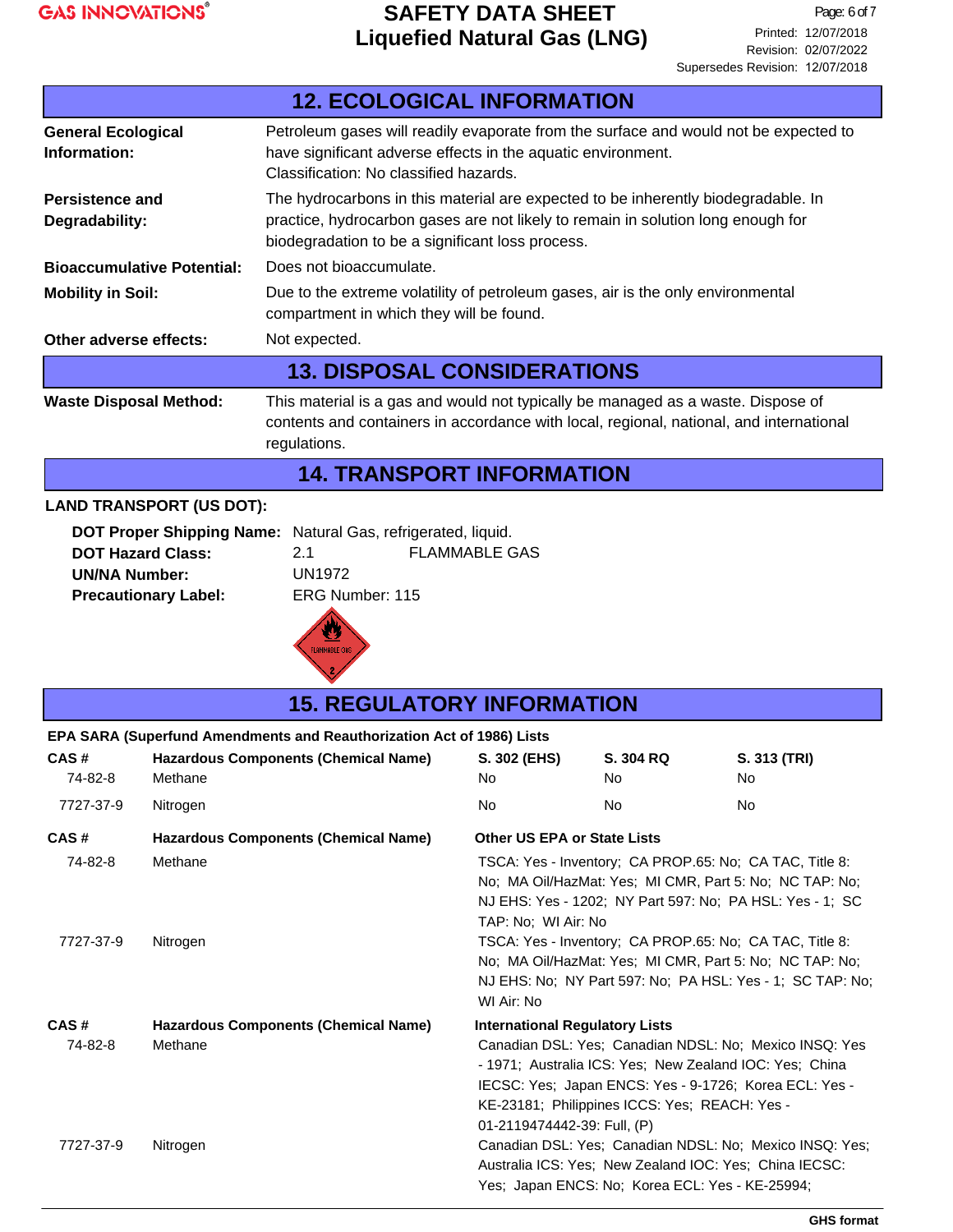

|                                           | <b>12. ECOLOGICAL INFORMATION</b>                                                                                                                                                                                         |
|-------------------------------------------|---------------------------------------------------------------------------------------------------------------------------------------------------------------------------------------------------------------------------|
| <b>General Ecological</b><br>Information: | Petroleum gases will readily evaporate from the surface and would not be expected to<br>have significant adverse effects in the aquatic environment.<br>Classification: No classified hazards.                            |
| Persistence and<br>Degradability:         | The hydrocarbons in this material are expected to be inherently biodegradable. In<br>practice, hydrocarbon gases are not likely to remain in solution long enough for<br>biodegradation to be a significant loss process. |
| <b>Bioaccumulative Potential:</b>         | Does not bioaccumulate.                                                                                                                                                                                                   |
| <b>Mobility in Soil:</b>                  | Due to the extreme volatility of petroleum gases, air is the only environmental<br>compartment in which they will be found.                                                                                               |
| Other adverse effects:                    | Not expected.                                                                                                                                                                                                             |
|                                           | <b>13. DISPOSAL CONSIDERATIONS</b>                                                                                                                                                                                        |
| <b>Waste Disposal Method:</b>             | This material is a gas and would not typically be managed as a waste. Dispose of<br>contents and containers in accordance with local, regional, national, and international<br>regulations.                               |
|                                           | <b>14. TRANSPORT INFORMATION</b>                                                                                                                                                                                          |

#### **LAND TRANSPORT (US DOT):**

| DOT Proper Shipping Name: Natural Gas, refrigerated, liquid. |                 |                      |
|--------------------------------------------------------------|-----------------|----------------------|
| <b>DOT Hazard Class:</b>                                     | 2.1             | <b>FLAMMABLE GAS</b> |
| <b>UN/NA Number:</b>                                         | UN1972          |                      |
| <b>Precautionary Label:</b>                                  | ERG Number: 115 |                      |
|                                                              |                 |                      |



# **15. REGULATORY INFORMATION**

#### **EPA SARA (Superfund Amendments and Reauthorization Act of 1986) Lists**

| CAS#<br>74-82-8                                                                                                                                                                               | <b>Hazardous Components (Chemical Name)</b><br>Methane | S. 302 (EHS)<br>No.                                                                                                                                                                                                                                                                                  | S. 304 RQ<br>No.                                                                                                                                                                                                                                                                                                                                                                         | S. 313 (TRI)<br>No. |  |  |  |
|-----------------------------------------------------------------------------------------------------------------------------------------------------------------------------------------------|--------------------------------------------------------|------------------------------------------------------------------------------------------------------------------------------------------------------------------------------------------------------------------------------------------------------------------------------------------------------|------------------------------------------------------------------------------------------------------------------------------------------------------------------------------------------------------------------------------------------------------------------------------------------------------------------------------------------------------------------------------------------|---------------------|--|--|--|
| 7727-37-9                                                                                                                                                                                     | Nitrogen                                               | <b>No</b>                                                                                                                                                                                                                                                                                            | No.                                                                                                                                                                                                                                                                                                                                                                                      | No                  |  |  |  |
| CAS#                                                                                                                                                                                          | <b>Hazardous Components (Chemical Name)</b>            | <b>Other US EPA or State Lists</b>                                                                                                                                                                                                                                                                   |                                                                                                                                                                                                                                                                                                                                                                                          |                     |  |  |  |
| 74-82-8<br>7727-37-9                                                                                                                                                                          | Methane<br>Nitrogen                                    | WI Air: No                                                                                                                                                                                                                                                                                           | TSCA: Yes - Inventory; CA PROP.65: No; CA TAC, Title 8:<br>No; MA Oil/HazMat: Yes; MI CMR, Part 5: No; NC TAP: No;<br>NJ EHS: Yes - 1202; NY Part 597: No; PA HSL: Yes - 1; SC<br>TAP: No: WI Air: No<br>TSCA: Yes - Inventory; CA PROP.65: No; CA TAC, Title 8:<br>No; MA Oil/HazMat: Yes; MI CMR, Part 5: No; NC TAP: No;<br>NJ EHS: No; NY Part 597: No; PA HSL: Yes - 1; SC TAP: No; |                     |  |  |  |
| CAS#<br>74-82-8                                                                                                                                                                               | <b>Hazardous Components (Chemical Name)</b><br>Methane | <b>International Regulatory Lists</b><br>Canadian DSL: Yes: Canadian NDSL: No: Mexico INSQ: Yes<br>- 1971; Australia ICS: Yes; New Zealand IOC: Yes; China<br>IECSC: Yes; Japan ENCS: Yes - 9-1726; Korea ECL: Yes -<br>KE-23181; Philippines ICCS: Yes; REACH: Yes -<br>01-2119474442-39: Full, (P) |                                                                                                                                                                                                                                                                                                                                                                                          |                     |  |  |  |
| Canadian DSL: Yes; Canadian NDSL: No; Mexico INSQ: Yes;<br>7727-37-9<br>Nitrogen<br>Australia ICS: Yes; New Zealand IOC: Yes; China IECSC:<br>Yes; Japan ENCS: No; Korea ECL: Yes - KE-25994; |                                                        |                                                                                                                                                                                                                                                                                                      |                                                                                                                                                                                                                                                                                                                                                                                          |                     |  |  |  |